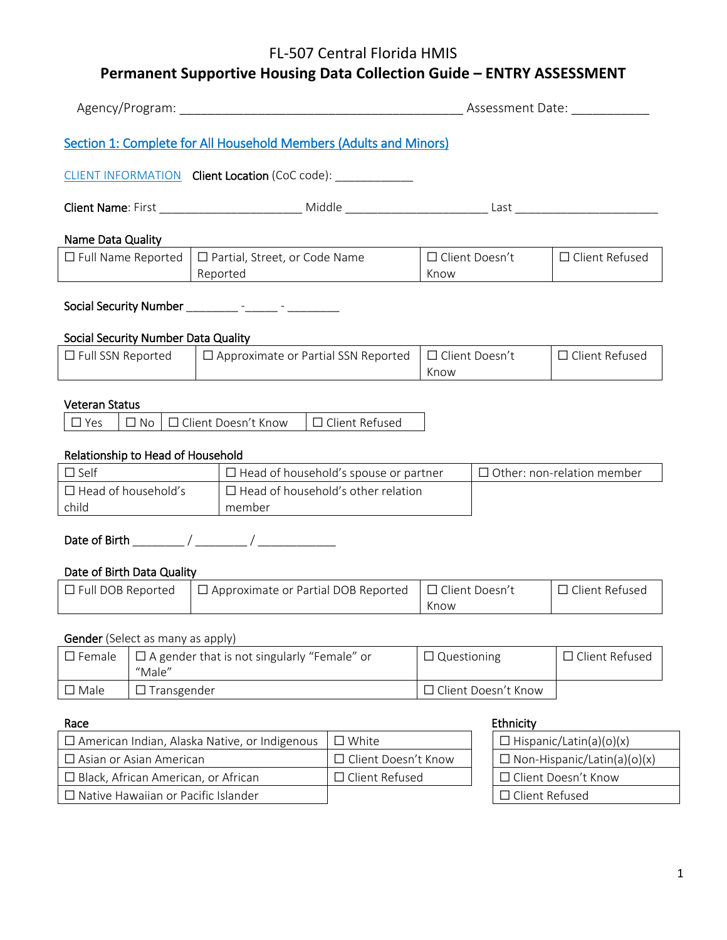# **Permanent Supportive Housing Data Collection Guide – ENTRY ASSESSMENT**

|                                                                                                                             |  |                                                     |                       |                               |                       | Assessment Date:                  |
|-----------------------------------------------------------------------------------------------------------------------------|--|-----------------------------------------------------|-----------------------|-------------------------------|-----------------------|-----------------------------------|
| Section 1: Complete for All Household Members (Adults and Minors)                                                           |  |                                                     |                       |                               |                       |                                   |
| CLIENT INFORMATION Client Location (CoC code):                                                                              |  |                                                     |                       |                               |                       |                                   |
|                                                                                                                             |  |                                                     |                       |                               |                       |                                   |
| Name Data Quality                                                                                                           |  |                                                     |                       |                               |                       |                                   |
| $\Box$ Full Name Reported                                                                                                   |  | $\Box$ Partial, Street, or Code Name<br>Reported    |                       | □ Client Doesn't<br>Know      |                       | $\Box$ Client Refused             |
| Social Security Number __________ -______ - ________ -                                                                      |  |                                                     |                       |                               |                       |                                   |
| <b>Social Security Number Data Quality</b>                                                                                  |  |                                                     |                       |                               |                       |                                   |
| $\Box$ Full SSN Reported                                                                                                    |  | $\Box$ Approximate or Partial SSN Reported          |                       | □ Client Doesn't<br>Know      |                       | $\Box$ Client Refused             |
| <b>Veteran Status</b>                                                                                                       |  |                                                     |                       |                               |                       |                                   |
| $\Box$ Yes<br>$\Box$ No                                                                                                     |  | □ Client Doesn't Know                               | $\Box$ Client Refused |                               |                       |                                   |
| Relationship to Head of Household                                                                                           |  |                                                     |                       |                               |                       |                                   |
| $\square$ Self                                                                                                              |  | $\Box$ Head of household's spouse or partner        |                       |                               |                       | $\Box$ Other: non-relation member |
| $\Box$ Head of household's<br>child                                                                                         |  | $\Box$ Head of household's other relation<br>member |                       |                               |                       |                                   |
|                                                                                                                             |  |                                                     |                       |                               |                       |                                   |
| Date of Birth Data Quality                                                                                                  |  |                                                     |                       |                               |                       |                                   |
| $\Box$ Full DOB Reported                                                                                                    |  | $\Box$ Approximate or Partial DOB Reported          |                       | $\Box$ Client Doesn't<br>Know |                       | $\Box$ Client Refused             |
|                                                                                                                             |  |                                                     |                       |                               |                       |                                   |
| <b>Gender</b> (Select as many as apply)<br>$\Box$ A gender that is not singularly "Female" or<br>$\square$ Female<br>"Male" |  |                                                     | $\Box$ Questioning    |                               | □ Client Refused      |                                   |
| $\square$ Male<br>$\Box$ Transgender                                                                                        |  |                                                     |                       |                               | □ Client Doesn't Know |                                   |
| Race                                                                                                                        |  |                                                     |                       |                               | Ethnicity             |                                   |
| □ American Indian, Alaska Native, or Indigenous                                                                             |  |                                                     | $\square$ White       |                               |                       | $\Box$ Hispanic/Latin(a)(o)(x)    |

| $\Box$ American Indian, Alaska Native, or Indigenous $\parallel$ | $\square$ White            | $\Box$ Hispanic/Latin(a)(o)(x)     |
|------------------------------------------------------------------|----------------------------|------------------------------------|
| $\square$ Asian or Asian American                                | $\Box$ Client Doesn't Know | $\Box$ Non-Hispanic/Latin(a)(o)(x) |
| □ Black, African American, or African                            | $\Box$ Client Refused      | □ Client Doesn't Know              |
| $\Box$ Native Hawaiian or Pacific Islander                       |                            | $\Box$ Client Refused              |

| $\Box$ Hispanic/Latin(a)(o)(x)     |
|------------------------------------|
| $\Box$ Non-Hispanic/Latin(a)(o)(x) |
| $\Box$ Client Doesn't Know         |
| $\Box$ Client Refused              |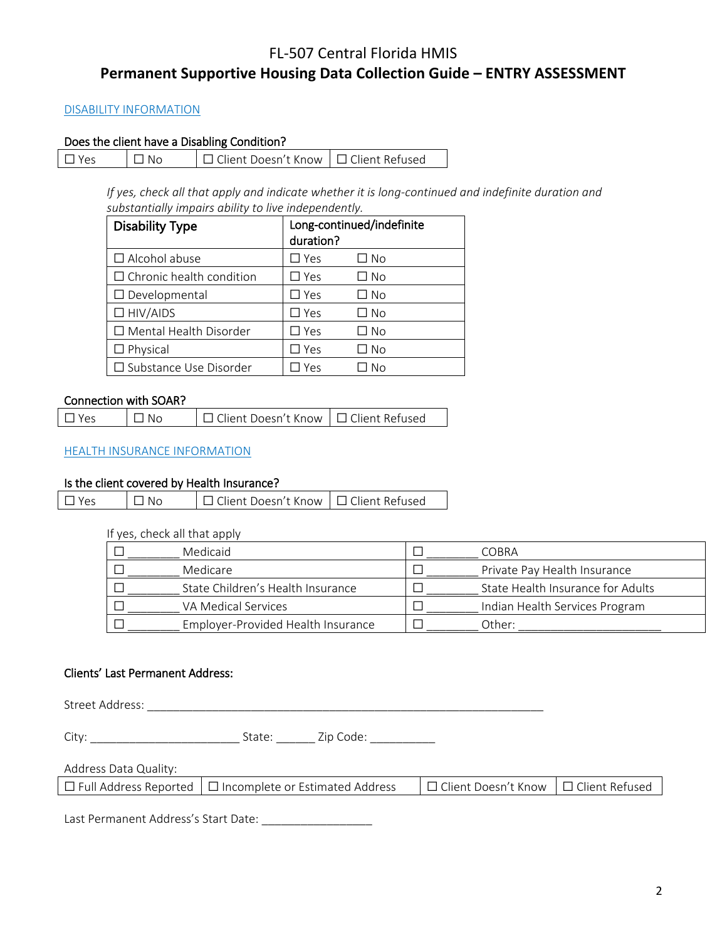## FL-507 Central Florida HMIS **Permanent Supportive Housing Data Collection Guide – ENTRY ASSESSMENT**

### DISABILITY INFORMATION

### Does the client have a Disabling Condition?

| $\Box$ Yes | $\Box$ No | □ Client Doesn't Know   □ Client Refused |  |
|------------|-----------|------------------------------------------|--|
|------------|-----------|------------------------------------------|--|

*If yes, check all that apply and indicate whether it is long-continued and indefinite duration and substantially impairs ability to live independently.*

| <b>Disability Type</b>          | duration?     | Long-continued/indefinite |
|---------------------------------|---------------|---------------------------|
| $\Box$ Alcohol abuse            | $\square$ Yes | □ No                      |
| $\Box$ Chronic health condition | $\Box$ Yes    | □ No                      |
| $\Box$ Developmental            | $\Box$ Yes    | □ No                      |
| $\Box$ HIV/AIDS                 | $\square$ Yes | □ No                      |
| $\Box$ Mental Health Disorder   | $\Box$ Yes    | □ No                      |
| $\Box$ Physical                 | $\square$ Yes | ∃ No                      |
| □ Substance Use Disorder        | Yes           | Nο                        |

### Connection with SOAR?

| $\Box$ Yes | $\Box$ No | □ Client Doesn't Know   □ Client Refused |  |
|------------|-----------|------------------------------------------|--|
|------------|-----------|------------------------------------------|--|

### HEALTH INSURANCE INFORMATION

### Is the client covered by Health Insurance?

| $\Box$ Yes | $\Box$ No | □ Client Doesn't Know   □ Client Refused |  |
|------------|-----------|------------------------------------------|--|
|            |           |                                          |  |

#### If yes, check all that apply

| Medicaid                           | COBRA                             |
|------------------------------------|-----------------------------------|
| Medicare                           | Private Pay Health Insurance      |
| State Children's Health Insurance  | State Health Insurance for Adults |
| VA Medical Services                | Indian Health Services Program    |
| Employer-Provided Health Insurance | Other:                            |

### Clients' Last Permanent Address:

Street Address: \_\_\_\_\_\_\_\_\_\_\_\_\_\_\_\_\_\_\_\_\_\_\_\_\_\_\_\_\_\_\_\_\_\_\_\_\_\_\_\_\_\_\_\_\_\_\_\_\_\_\_\_\_\_\_\_\_\_\_\_\_

City: \_\_\_\_\_\_\_\_\_\_\_\_\_\_\_\_\_\_\_\_\_\_\_ State: \_\_\_\_\_\_ Zip Code: \_\_\_\_\_\_\_\_\_\_

Address Data Quality:

| $\Box$ Full Address Reported $\Box$ Incomplete or Estimated Address | □ Client Doesn't Know □ □ Client Refused |  |
|---------------------------------------------------------------------|------------------------------------------|--|
|                                                                     |                                          |  |

Last Permanent Address's Start Date: \_\_\_\_\_\_\_\_\_\_\_\_\_\_\_\_\_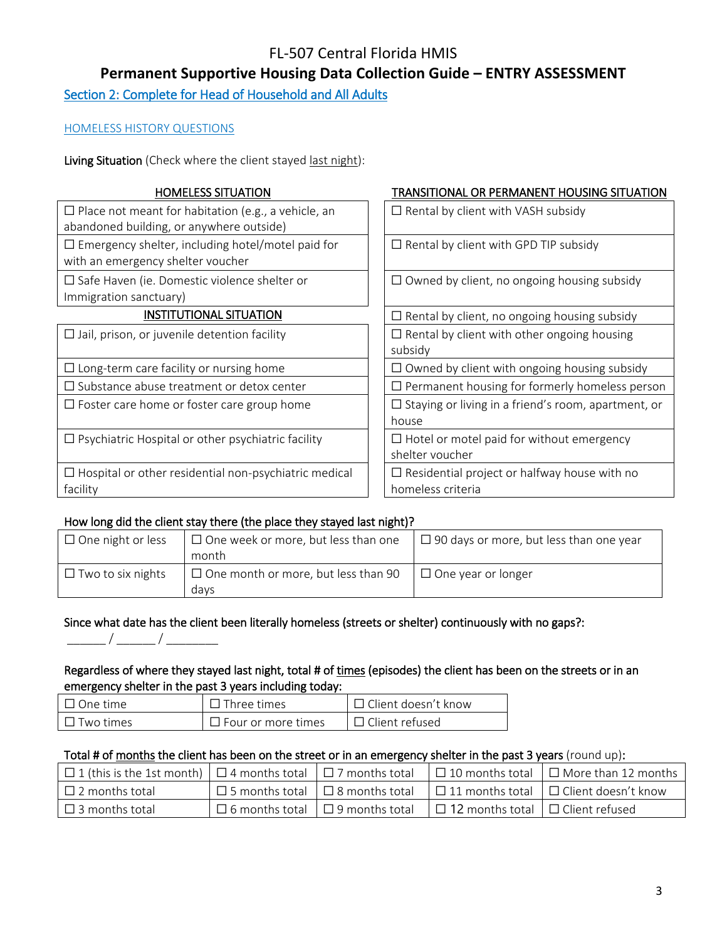**Permanent Supportive Housing Data Collection Guide – ENTRY ASSESSMENT**

Section 2: Complete for Head of Household and All Adults

### HOMELESS HISTORY QUESTIONS

Living Situation (Check where the client stayed last night):

| $\Box$ Place not meant for habitation (e.g., a vehicle, an<br>$\Box$ Rental by client with VASH subsidy<br>abandoned building, or anywhere outside)<br>$\Box$ Emergency shelter, including hotel/motel paid for<br>$\Box$ Rental by client with GPD TIP subsidy<br>with an emergency shelter voucher<br>$\Box$ Safe Haven (ie. Domestic violence shelter or<br>$\Box$ Owned by client, no ongoing housing subsidy |  |
|-------------------------------------------------------------------------------------------------------------------------------------------------------------------------------------------------------------------------------------------------------------------------------------------------------------------------------------------------------------------------------------------------------------------|--|
|                                                                                                                                                                                                                                                                                                                                                                                                                   |  |
|                                                                                                                                                                                                                                                                                                                                                                                                                   |  |
| Immigration sanctuary)                                                                                                                                                                                                                                                                                                                                                                                            |  |
| <b>INSTITUTIONAL SITUATION</b><br>$\Box$ Rental by client, no ongoing housing subsidy                                                                                                                                                                                                                                                                                                                             |  |
| $\Box$ Rental by client with other ongoing housing<br>$\Box$ Jail, prison, or juvenile detention facility<br>subsidy                                                                                                                                                                                                                                                                                              |  |
| $\Box$ Owned by client with ongoing housing subsidy<br>$\Box$ Long-term care facility or nursing home                                                                                                                                                                                                                                                                                                             |  |
| $\Box$ Substance abuse treatment or detox center<br>$\Box$ Permanent housing for formerly homeless person                                                                                                                                                                                                                                                                                                         |  |
| $\Box$ Staying or living in a friend's room, apartment, or<br>$\Box$ Foster care home or foster care group home<br>house                                                                                                                                                                                                                                                                                          |  |
| $\Box$ Psychiatric Hospital or other psychiatric facility<br>$\Box$ Hotel or motel paid for without emergency<br>shelter voucher                                                                                                                                                                                                                                                                                  |  |
| $\Box$ Hospital or other residential non-psychiatric medical<br>$\Box$ Residential project or halfway house with no<br>homeless criteria<br>facility                                                                                                                                                                                                                                                              |  |

### How long did the client stay there (the place they stayed last night)?

| $\Box$ One night or less | $\Box$ One week or more, but less than one | $\Box$ 90 days or more, but less than one year |
|--------------------------|--------------------------------------------|------------------------------------------------|
|                          | month                                      |                                                |
| $\Box$ Two to six nights | $\Box$ One month or more, but less than 90 | $\Box$ One year or longer                      |
|                          | davs                                       |                                                |

### Since what date has the client been literally homeless (streets or shelter) continuously with no gaps?:

### Regardless of where they stayed last night, total # of times (episodes) the client has been on the streets or in an emergency shelter in the past 3 years including today:

| $\Box$ One time  | Three times               | $\Box$ Client doesn't know |
|------------------|---------------------------|----------------------------|
| $\Box$ Two times | $\Box$ Four or more times | $\Box$ Client refused      |

### Total # of months the client has been on the street or in an emergency shelter in the past 3 years (round up):

| $\Box$ 1 (this is the 1st month) $\Box$ 4 months total $\Box$ 7 months total |                                             |                                              | $\Box$ 10 months total $\Box$ More than 12 months |
|------------------------------------------------------------------------------|---------------------------------------------|----------------------------------------------|---------------------------------------------------|
| $\Box$ 2 months total                                                        | $\Box$ 5 months total $\Box$ 8 months total |                                              | $\Box$ 11 months total $\Box$ Client doesn't know |
| $\Box$ 3 months total                                                        | $\Box$ 6 months total $\Box$ 9 months total | $\Box$ 12 months total $\Box$ Client refused |                                                   |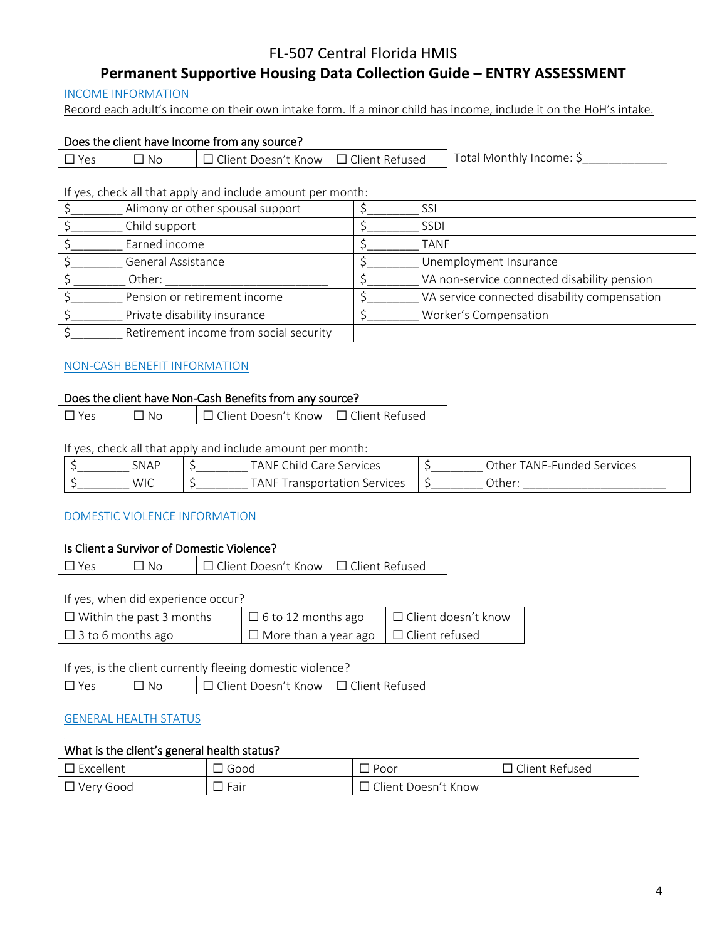## **Permanent Supportive Housing Data Collection Guide – ENTRY ASSESSMENT**

### INCOME INFORMATION

Record each adult's income on their own intake form. If a minor child has income, include it on the HoH's intake.

### Does the client have Income from any source?

| Total Monthly Income: 5<br>∴Client Doesn't Know ∣ □ Client Refused<br>. No<br>$V \cap G$ |
|------------------------------------------------------------------------------------------|
|------------------------------------------------------------------------------------------|

If yes, check all that apply and include amount per month:

| Alimony or other spousal support       | SSI                                          |
|----------------------------------------|----------------------------------------------|
| Child support                          | <b>SSDI</b>                                  |
| Earned income                          | <b>TANF</b>                                  |
| General Assistance                     | Unemployment Insurance                       |
| Other:                                 | VA non-service connected disability pension  |
| Pension or retirement income           | VA service connected disability compensation |
| Private disability insurance           | Worker's Compensation                        |
| Retirement income from social security |                                              |

## NON-CASH BENEFIT INFORMATION

### Does the client have Non-Cash Benefits from any source?

| $\Box$ Yes | $\overline{\phantom{a}}$ $\overline{\phantom{a}}$ No | □ Client Doesn't Know   □ Client Refused |  |
|------------|------------------------------------------------------|------------------------------------------|--|
|            |                                                      |                                          |  |

If yes, check all that apply and include amount per month:

| <b>SNAP</b> | $\sim$<br>TANF<br>Services<br>`hild.<br>$\sim$ red | )ther<br>Services<br>ANF-Funded:" |
|-------------|----------------------------------------------------|-----------------------------------|
| WIC         | Services<br>. ANF<br>rar<br>isnor                  | _Other:                           |

### DOMESTIC VIOLENCE INFORMATION

### Is Client a Survivor of Domestic Violence?

| $\Box$ Yes | $\Box$ No | □ Client Doesn't Know   □ Client Refused |  |
|------------|-----------|------------------------------------------|--|
|------------|-----------|------------------------------------------|--|

If yes, when did experience occur?

| $\Box$ Within the past 3 months | $\Box$ 6 to 12 months ago                         | □ Client doesn't know |
|---------------------------------|---------------------------------------------------|-----------------------|
| $\Box$ 3 to 6 months ago        | $\Box$ More than a year ago $\Box$ Client refused |                       |

### If yes, is the client currently fleeing domestic violence?

| $\Box$ Yes | $\Box$ No | □ Client Doesn't Know   □ Client Refused |  |
|------------|-----------|------------------------------------------|--|
|            |           |                                          |  |

### GENERAL HEALTH STATUS

### What is the client's general health status?

| Excellent | Good                             | Poor                 | $\sim$<br>: Refused<br>$\cup$ lient |
|-----------|----------------------------------|----------------------|-------------------------------------|
| Very Good | $\overline{\phantom{0}}$<br>Fair | Doesn't Know<br>uent |                                     |